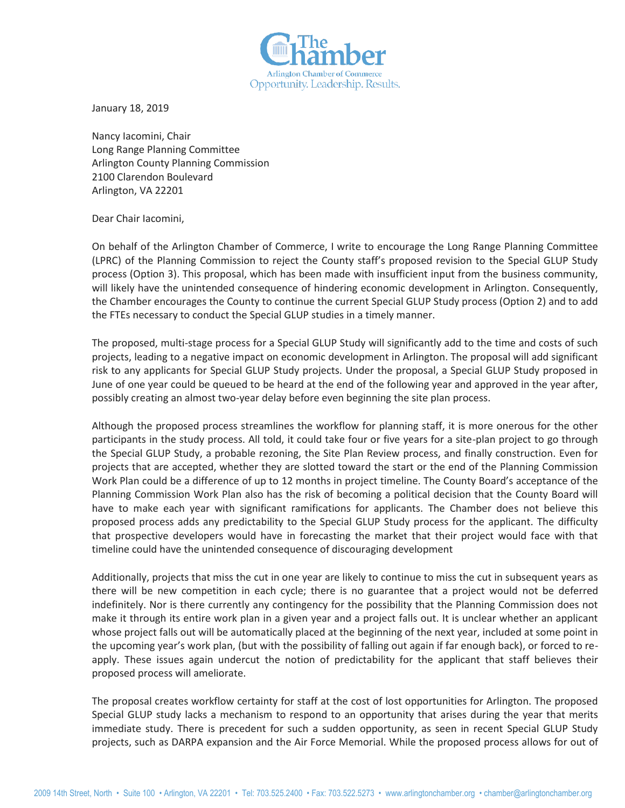

January 18, 2019

Nancy Iacomini, Chair Long Range Planning Committee Arlington County Planning Commission 2100 Clarendon Boulevard Arlington, VA 22201

Dear Chair Iacomini,

On behalf of the Arlington Chamber of Commerce, I write to encourage the Long Range Planning Committee (LPRC) of the Planning Commission to reject the County staff's proposed revision to the Special GLUP Study process (Option 3). This proposal, which has been made with insufficient input from the business community, will likely have the unintended consequence of hindering economic development in Arlington. Consequently, the Chamber encourages the County to continue the current Special GLUP Study process (Option 2) and to add the FTEs necessary to conduct the Special GLUP studies in a timely manner.

The proposed, multi-stage process for a Special GLUP Study will significantly add to the time and costs of such projects, leading to a negative impact on economic development in Arlington. The proposal will add significant risk to any applicants for Special GLUP Study projects. Under the proposal, a Special GLUP Study proposed in June of one year could be queued to be heard at the end of the following year and approved in the year after, possibly creating an almost two-year delay before even beginning the site plan process.

Although the proposed process streamlines the workflow for planning staff, it is more onerous for the other participants in the study process. All told, it could take four or five years for a site-plan project to go through the Special GLUP Study, a probable rezoning, the Site Plan Review process, and finally construction. Even for projects that are accepted, whether they are slotted toward the start or the end of the Planning Commission Work Plan could be a difference of up to 12 months in project timeline. The County Board's acceptance of the Planning Commission Work Plan also has the risk of becoming a political decision that the County Board will have to make each year with significant ramifications for applicants. The Chamber does not believe this proposed process adds any predictability to the Special GLUP Study process for the applicant. The difficulty that prospective developers would have in forecasting the market that their project would face with that timeline could have the unintended consequence of discouraging development

Additionally, projects that miss the cut in one year are likely to continue to miss the cut in subsequent years as there will be new competition in each cycle; there is no guarantee that a project would not be deferred indefinitely. Nor is there currently any contingency for the possibility that the Planning Commission does not make it through its entire work plan in a given year and a project falls out. It is unclear whether an applicant whose project falls out will be automatically placed at the beginning of the next year, included at some point in the upcoming year's work plan, (but with the possibility of falling out again if far enough back), or forced to reapply. These issues again undercut the notion of predictability for the applicant that staff believes their proposed process will ameliorate.

The proposal creates workflow certainty for staff at the cost of lost opportunities for Arlington. The proposed Special GLUP study lacks a mechanism to respond to an opportunity that arises during the year that merits immediate study. There is precedent for such a sudden opportunity, as seen in recent Special GLUP Study projects, such as DARPA expansion and the Air Force Memorial. While the proposed process allows for out of